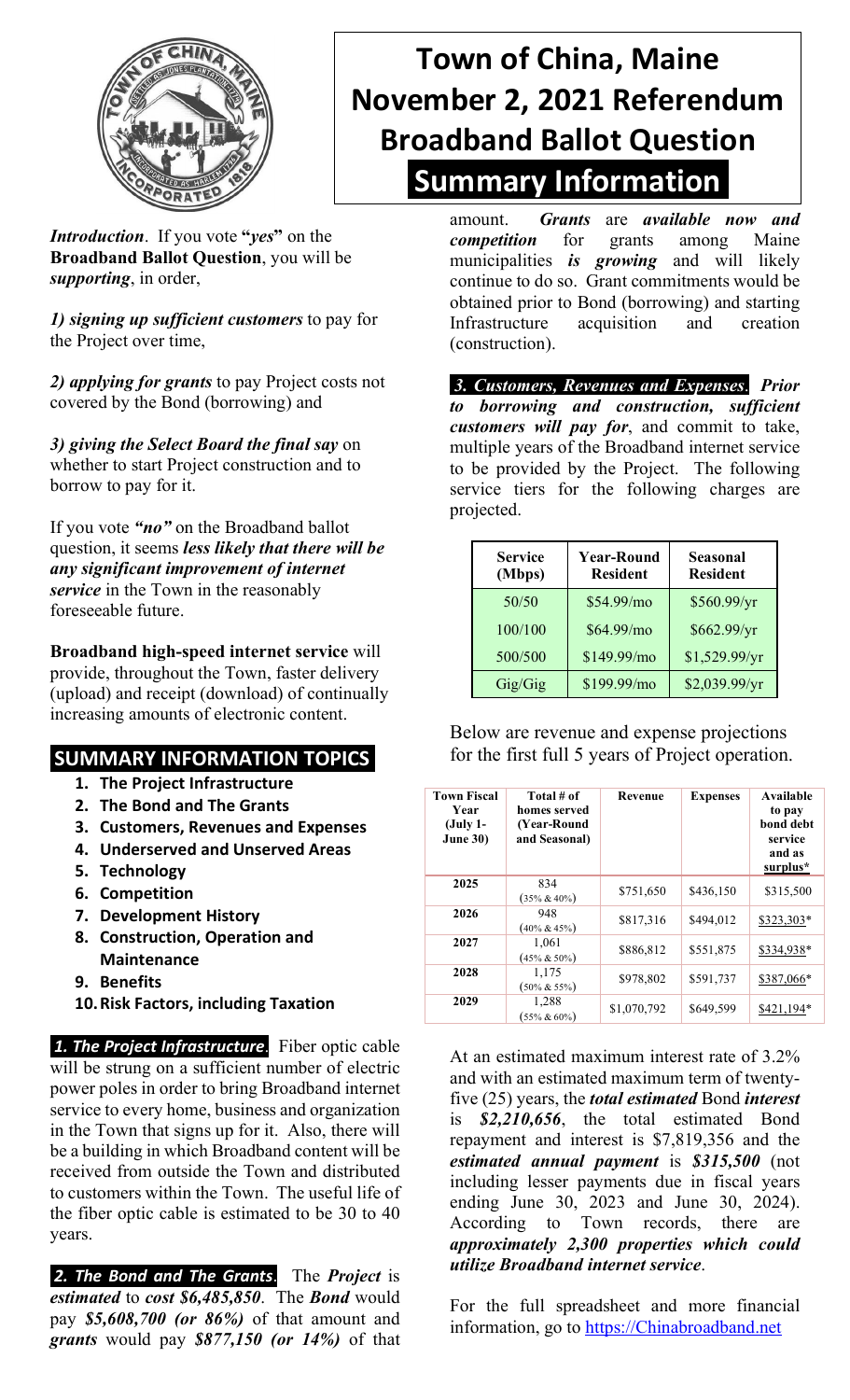

## **Town of China, Maine November 2, 2021 Referendum Broadband Ballot Question Summary Information**

*Introduction*. If you vote **"***yes***"** on the **Broadband Ballot Question**, you will be *supporting*, in order,

*1) signing up sufficient customers* to pay for the Project over time,

*2) applying for grants* to pay Project costs not covered by the Bond (borrowing) and

*3) giving the Select Board the final say* on whether to start Project construction and to borrow to pay for it.

If you vote *"no"* on the Broadband ballot question, it seems *less likely that there will be any significant improvement of internet service* in the Town in the reasonably foreseeable future.

**Broadband high-speed internet service** will provide, throughout the Town, faster delivery (upload) and receipt (download) of continually increasing amounts of electronic content.

## **SUMMARY INFORMATION TOPICS**

- **1. The Project Infrastructure**
- **2. The Bond and The Grants**
- **3. Customers, Revenues and Expenses**
- **4. Underserved and Unserved Areas**
- **5. Technology**
- **6. Competition**
- **7. Development History**
- **8. Construction, Operation and Maintenance**
- **9. Benefits**
- **10.Risk Factors, including Taxation**

*1. The Project Infrastructure*. Fiber optic cable will be strung on a sufficient number of electric power poles in order to bring Broadband internet service to every home, business and organization in the Town that signs up for it. Also, there will be a building in which Broadband content will be received from outside the Town and distributed to customers within the Town. The useful life of the fiber optic cable is estimated to be 30 to 40 years.

*2. The Bond and The Grants*. The *Project* is *estimated* to *cost \$6,485,850*. The *Bond* would pay *\$5,608,700 (or 86%)* of that amount and *grants* would pay *\$877,150 (or 14%)* of that amount. *Grants* are *available now and competition* for grants among Maine municipalities *is growing* and will likely continue to do so. Grant commitments would be obtained prior to Bond (borrowing) and starting Infrastructure acquisition and creation (construction).

*3. Customers, Revenues and Expenses*. *Prior to borrowing and construction, sufficient customers will pay for*, and commit to take, multiple years of the Broadband internet service to be provided by the Project. The following service tiers for the following charges are projected.

| <b>Service</b><br>(Mbps) | <b>Year-Round</b><br><b>Resident</b> | <b>Seasonal</b><br><b>Resident</b> |  |
|--------------------------|--------------------------------------|------------------------------------|--|
| 50/50                    | \$54.99/mo                           | \$560.99/yr                        |  |
| 100/100                  | \$64.99/mo                           | \$662.99/yr                        |  |
| 500/500                  | \$149.99/mo                          | \$1,529.99/yr                      |  |
| Gig/Gig                  | \$199.99/mo                          | \$2,039.99/yr                      |  |

Below are revenue and expense projections for the first full 5 years of Project operation.

| <b>Town Fiscal</b><br>Year<br>(July 1-<br><b>June 30)</b> | Total # of<br>homes served<br>(Year-Round<br>and Seasonal) | Revenue     | <b>Expenses</b> | Available<br>to pay<br>bond debt<br>service<br>and as<br>surplus* |
|-----------------------------------------------------------|------------------------------------------------------------|-------------|-----------------|-------------------------------------------------------------------|
| 2025                                                      | 834<br>$(35\% & 40\%)$                                     | \$751,650   | \$436,150       | \$315,500                                                         |
| 2026                                                      | 948<br>$(40\% \& 45\%)$                                    | \$817,316   | \$494.012       | \$323,303*                                                        |
| 2027                                                      | 1,061<br>$(45\% \& 50\%)$                                  | \$886,812   | \$551,875       | \$334,938*                                                        |
| 2028                                                      | 1,175<br>$(50\% \& 55\%)$                                  | \$978,802   | \$591,737       | \$387,066*                                                        |
| 2029                                                      | 1,288<br>$(55\% & 60\%)$                                   | \$1,070,792 | \$649,599       | \$421.194*                                                        |

At an estimated maximum interest rate of 3.2% and with an estimated maximum term of twentyfive (25) years, the *total estimated* Bond *interest* is *\$2,210,656*, the total estimated Bond repayment and interest is \$7,819,356 and the *estimated annual payment* is *\$315,500* (not including lesser payments due in fiscal years ending June 30, 2023 and June 30, 2024). According to Town records, there are *approximately 2,300 properties which could utilize Broadband internet service*.

For the full spreadsheet and more financial information, go to [https://Chinabroadband.net](https://chinabroadband.net/)